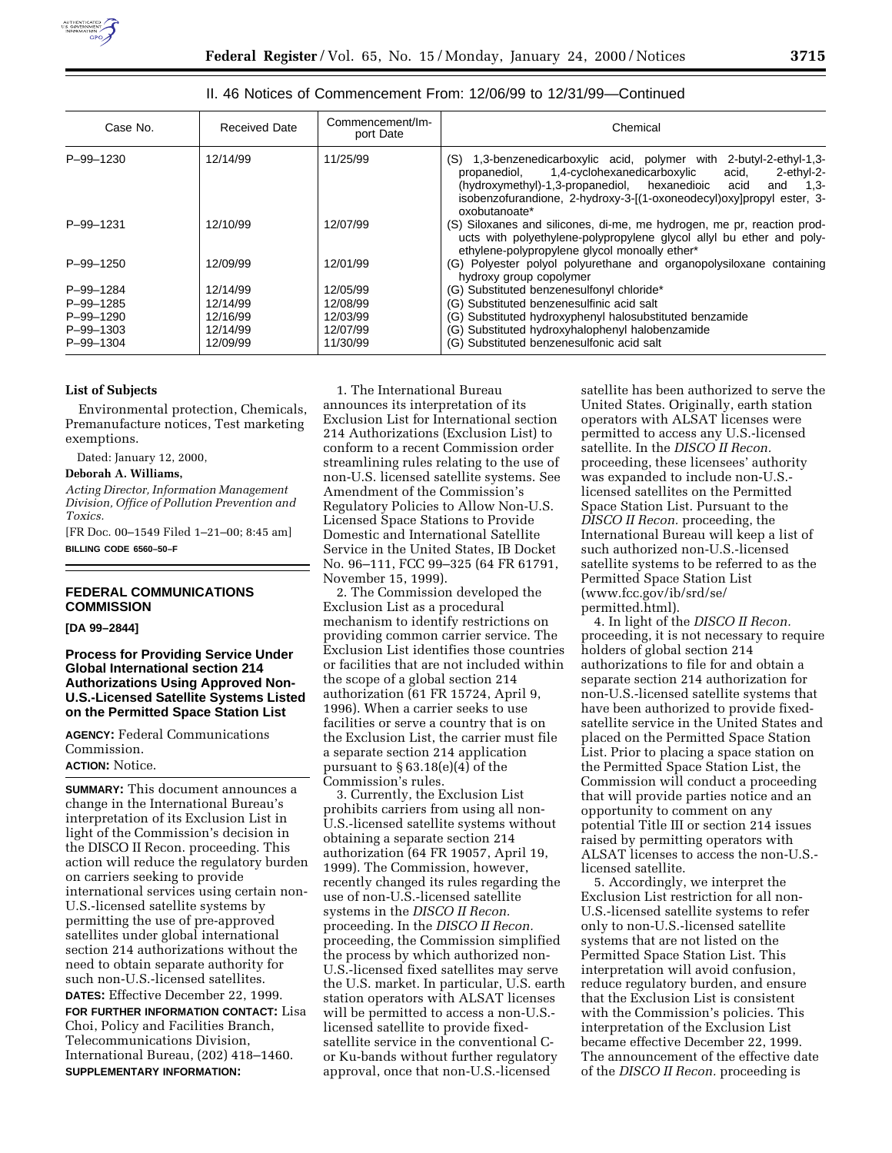

| Case No.                     | <b>Received Date</b> | Commencement/Im-<br>port Date | Chemical                                                                                                                                                                                                                                                                                           |
|------------------------------|----------------------|-------------------------------|----------------------------------------------------------------------------------------------------------------------------------------------------------------------------------------------------------------------------------------------------------------------------------------------------|
| P-99-1230                    | 12/14/99             | 11/25/99                      | (S) 1,3-benzenedicarboxylic acid, polymer with 2-butyl-2-ethyl-1,3-<br>1,4-cyclohexanedicarboxylic<br>acid,<br>2-ethyl-2-<br>propanediol,<br>(hydroxymethyl)-1,3-propanediol, hexanedioic acid<br>and 1.3-<br>isobenzofurandione, 2-hydroxy-3-[(1-oxoneodecyl)oxylpropylester, 3-<br>oxobutanoate* |
| P-99-1231                    | 12/10/99             | 12/07/99                      | (S) Siloxanes and silicones, di-me, me hydrogen, me pr, reaction prod-<br>ucts with polyethylene-polypropylene glycol allyl bu ether and poly-<br>ethylene-polypropylene glycol monoally ether*                                                                                                    |
| P-99-1250                    | 12/09/99             | 12/01/99                      | (G) Polyester polyol polyurethane and organopolysiloxane containing<br>hydroxy group copolymer                                                                                                                                                                                                     |
| P-99-1284                    | 12/14/99             | 12/05/99                      | (G) Substituted benzenesulfonyl chloride*                                                                                                                                                                                                                                                          |
| P-99-1285                    | 12/14/99             | 12/08/99                      | (G) Substituted benzenesulfinic acid salt                                                                                                                                                                                                                                                          |
| P-99-1290<br>$P - 99 - 1303$ | 12/16/99<br>12/14/99 | 12/03/99<br>12/07/99          | (G) Substituted hydroxyphenyl halosubstituted benzamide<br>(G) Substituted hydroxyhalophenyl halobenzamide                                                                                                                                                                                         |
| P-99-1304                    | 12/09/99             | 11/30/99                      | (G) Substituted benzenesulfonic acid salt                                                                                                                                                                                                                                                          |

# II. 46 Notices of Commencement From: 12/06/99 to 12/31/99—Continued

## **List of Subjects**

Environmental protection, Chemicals, Premanufacture notices, Test marketing exemptions.

Dated: January 12, 2000,

## **Deborah A. Williams,**

*Acting Director, Information Management Division, Office of Pollution Prevention and Toxics.*

[FR Doc. 00–1549 Filed 1–21–00; 8:45 am] **BILLING CODE 6560–50–F**

## **FEDERAL COMMUNICATIONS COMMISSION**

**[DA 99–2844]**

## **Process for Providing Service Under Global International section 214 Authorizations Using Approved Non-U.S.-Licensed Satellite Systems Listed on the Permitted Space Station List**

**AGENCY:** Federal Communications Commission.

# **ACTION:** Notice.

**SUMMARY:** This document announces a change in the International Bureau's interpretation of its Exclusion List in light of the Commission's decision in the DISCO II Recon. proceeding. This action will reduce the regulatory burden on carriers seeking to provide international services using certain non-U.S.-licensed satellite systems by permitting the use of pre-approved satellites under global international section 214 authorizations without the need to obtain separate authority for such non-U.S.-licensed satellites. **DATES:** Effective December 22, 1999. **FOR FURTHER INFORMATION CONTACT:** Lisa Choi, Policy and Facilities Branch, Telecommunications Division, International Bureau, (202) 418–1460. **SUPPLEMENTARY INFORMATION:**

1. The International Bureau announces its interpretation of its Exclusion List for International section 214 Authorizations (Exclusion List) to conform to a recent Commission order streamlining rules relating to the use of non-U.S. licensed satellite systems. See Amendment of the Commission's Regulatory Policies to Allow Non-U.S. Licensed Space Stations to Provide Domestic and International Satellite Service in the United States, IB Docket No. 96–111, FCC 99–325 (64 FR 61791, November 15, 1999).

2. The Commission developed the Exclusion List as a procedural mechanism to identify restrictions on providing common carrier service. The Exclusion List identifies those countries or facilities that are not included within the scope of a global section 214 authorization (61 FR 15724, April 9, 1996). When a carrier seeks to use facilities or serve a country that is on the Exclusion List, the carrier must file a separate section 214 application pursuant to § 63.18(e)(4) of the Commission's rules.

3. Currently, the Exclusion List prohibits carriers from using all non-U.S.-licensed satellite systems without obtaining a separate section 214 authorization (64 FR 19057, April 19, 1999). The Commission, however, recently changed its rules regarding the use of non-U.S.-licensed satellite systems in the *DISCO II Recon.* proceeding. In the *DISCO II Recon.* proceeding, the Commission simplified the process by which authorized non-U.S.-licensed fixed satellites may serve the U.S. market. In particular, U.S. earth station operators with ALSAT licenses will be permitted to access a non-U.S.licensed satellite to provide fixedsatellite service in the conventional Cor Ku-bands without further regulatory approval, once that non-U.S.-licensed

satellite has been authorized to serve the United States. Originally, earth station operators with ALSAT licenses were permitted to access any U.S.-licensed satellite. In the *DISCO II Recon.* proceeding, these licensees' authority was expanded to include non-U.S. licensed satellites on the Permitted Space Station List. Pursuant to the *DISCO II Recon.* proceeding, the International Bureau will keep a list of such authorized non-U.S.-licensed satellite systems to be referred to as the Permitted Space Station List (www.fcc.gov/ib/srd/se/ permitted.html).

4. In light of the *DISCO II Recon.* proceeding, it is not necessary to require holders of global section 214 authorizations to file for and obtain a separate section 214 authorization for non-U.S.-licensed satellite systems that have been authorized to provide fixedsatellite service in the United States and placed on the Permitted Space Station List. Prior to placing a space station on the Permitted Space Station List, the Commission will conduct a proceeding that will provide parties notice and an opportunity to comment on any potential Title III or section 214 issues raised by permitting operators with ALSAT licenses to access the non-U.S. licensed satellite.

5. Accordingly, we interpret the Exclusion List restriction for all non-U.S.-licensed satellite systems to refer only to non-U.S.-licensed satellite systems that are not listed on the Permitted Space Station List. This interpretation will avoid confusion, reduce regulatory burden, and ensure that the Exclusion List is consistent with the Commission's policies. This interpretation of the Exclusion List became effective December 22, 1999. The announcement of the effective date of the *DISCO II Recon.* proceeding is